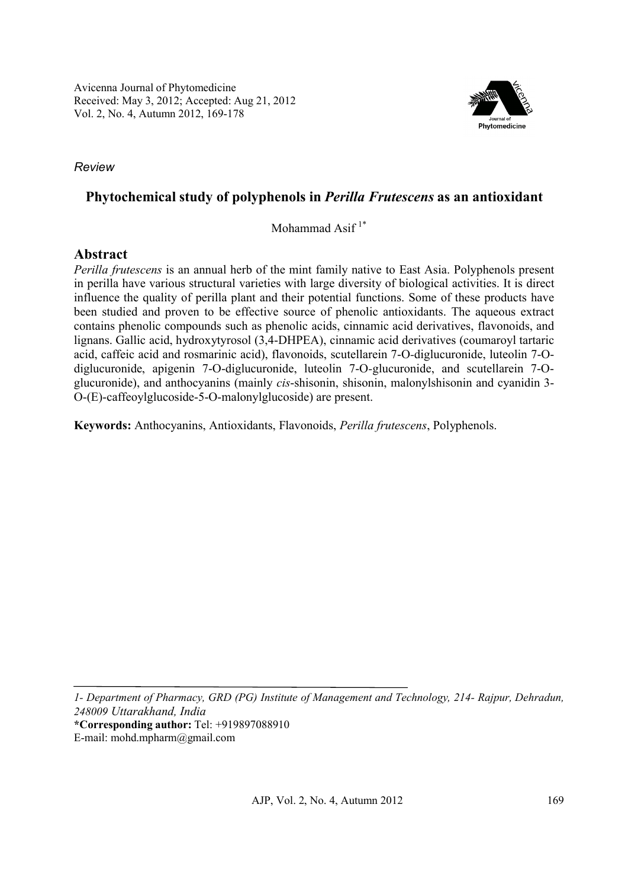

*Review*

# **Phytochemical study of polyphenols in** *Perilla Frutescens* **as an antioxidant**

Mohammad Asif $1^*$ 

# **Abstract**

*Perilla frutescens* is an annual herb of the mint family native to East Asia. Polyphenols present in perilla have various structural varieties with large diversity of biological activities. It is direct influence the quality of perilla plant and their potential functions. Some of these products have been studied and proven to be effective source of phenolic antioxidants. The aqueous extract contains phenolic compounds such as phenolic acids, cinnamic acid derivatives, flavonoids, and lignans. Gallic acid, hydroxytyrosol (3,4-DHPEA), cinnamic acid derivatives (coumaroyl tartaric acid, caffeic acid and rosmarinic acid), flavonoids, scutellarein 7-O*-*diglucuronide, luteolin 7-Odiglucuronide, apigenin 7-O-diglucuronide, luteolin 7-O*-*glucuronide, and scutellarein 7-Oglucuronide), and anthocyanins (mainly *cis*-shisonin, shisonin, malonylshisonin and cyanidin 3- O-(E)-caffeoylglucoside-5-O-malonylglucoside) are present.

**Keywords:** Anthocyanins, Antioxidants, Flavonoids, *Perilla frutescens*, Polyphenols.

*1- Department of Pharmacy, GRD (PG) Institute of Management and Technology, 214- Rajpur, Dehradun, 248009 Uttarakhand, India* **\*Corresponding author:** Tel: +919897088910

E-mail: mohd.mpharm@gmail.com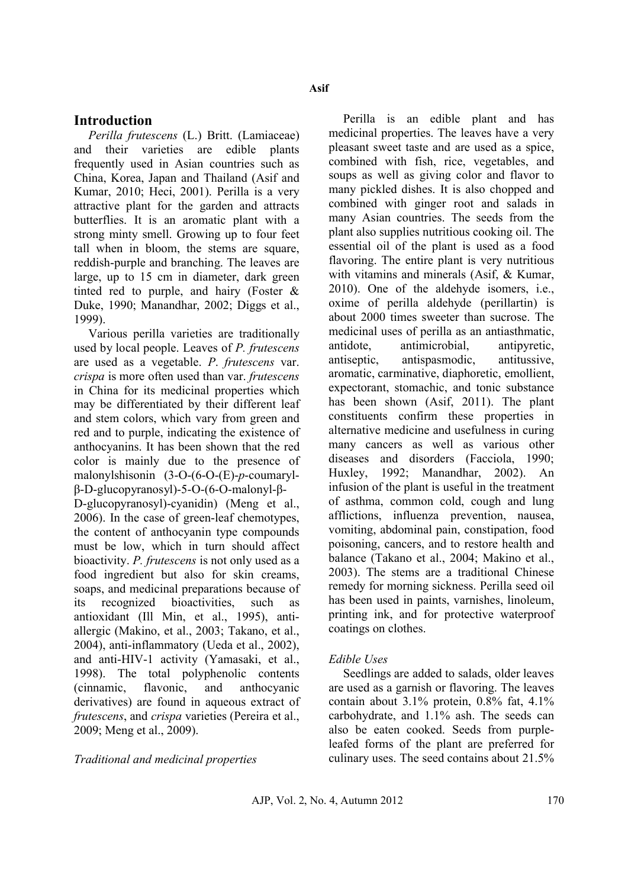### **Introduction**

*Perilla frutescens* (L.) Britt. (Lamiaceae) and their varieties are edible plants frequently used in Asian countries such as China, Korea, Japan and Thailand (Asif and Kumar, 2010; Heci, 2001). Perilla is a very attractive plant for the garden and attracts butterflies. It is an aromatic plant with a strong minty smell. Growing up to four feet tall when in bloom, the stems are square, reddish-purple and branching. The leaves are large, up to 15 cm in diameter, dark green tinted red to purple, and hairy (Foster & Duke, 1990; Manandhar, 2002; Diggs et al., 1999).

Various perilla varieties are traditionally used by local people. Leaves of *P. frutescens*  are used as a vegetable. *P*. *frutescens* var. *crispa* is more often used than var. *frutescens* in China for its medicinal properties which may be differentiated by their different leaf and stem colors, which vary from green and red and to purple, indicating the existence of anthocyanins. It has been shown that the red color is mainly due to the presence of malonylshisonin (3-O-(6-O-(E)-*p*-coumarylβ-D-glucopyranosyl)-5-O-(6-O-malonyl-β-

D-glucopyranosyl)-cyanidin) (Meng et al., 2006). In the case of green-leaf chemotypes, the content of anthocyanin type compounds must be low, which in turn should affect bioactivity. *P. frutescens* is not only used as a food ingredient but also for skin creams, soaps, and medicinal preparations because of its recognized bioactivities, such as antioxidant (Ill Min, et al., 1995), antiallergic (Makino, et al., 2003; Takano, et al., 2004), anti-inflammatory (Ueda et al., 2002), and anti-HIV-1 activity (Yamasaki, et al., 1998). The total polyphenolic contents (cinnamic, flavonic, and anthocyanic derivatives) are found in aqueous extract of *frutescens*, and *crispa* varieties (Pereira et al., 2009; Meng et al., 2009).

*Traditional and medicinal properties*

Perilla is an edible plant and has medicinal properties. The leaves have a very pleasant sweet taste and are used as a spice, combined with fish, rice, vegetables, and soups as well as giving color and flavor to many pickled dishes. It is also chopped and combined with ginger root and salads in many Asian countries. The seeds from the plant also supplies nutritious cooking oil. The essential oil of the plant is used as a food flavoring. The entire plant is very nutritious with vitamins and minerals (Asif, & Kumar, 2010). One of the aldehyde isomers, i.e., oxime of perilla aldehyde (perillartin) is about 2000 times sweeter than sucrose. The medicinal uses of perilla as an antiasthmatic, antidote, antimicrobial, antipyretic, antiseptic, antispasmodic, antitussive, aromatic, carminative, diaphoretic, emollient, expectorant, stomachic, and tonic substance has been shown (Asif, 2011). The plant constituents confirm these properties in alternative medicine and usefulness in curing many cancers as well as various other diseases and disorders (Facciola, 1990; Huxley, 1992; Manandhar, 2002). An infusion of the plant is useful in the treatment of asthma, common cold, cough and lung afflictions, influenza prevention, nausea, vomiting, abdominal pain, constipation, food poisoning, cancers, and to restore health and balance (Takano et al., 2004; Makino et al., 2003). The stems are a traditional Chinese remedy for morning sickness. Perilla seed oil has been used in paints, varnishes, linoleum, printing ink, and for protective waterproof coatings on clothes.

### *Edible Uses*

Seedlings are added to salads, older leaves are used as a garnish or flavoring. The leaves contain about 3.1% protein, 0.8% fat, 4.1% carbohydrate, and 1.1% ash. The seeds can also be eaten cooked. Seeds from purpleleafed forms of the plant are preferred for culinary uses. The seed contains about 21.5%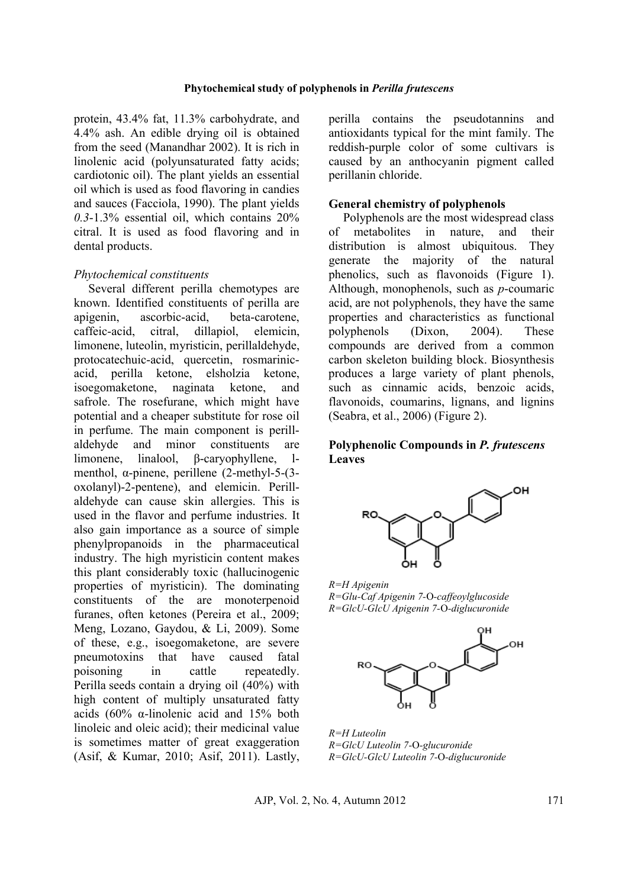#### **Phytochemical study of polyphenols in** *Perilla frutescens*

protein, 43.4% fat, 11.3% carbohydrate, and 4.4% ash. An edible drying oil is obtained from the seed (Manandhar 2002). It is rich in linolenic acid (polyunsaturated fatty acids; cardiotonic oil). The plant yields an essential oil which is used as food flavoring in candies and sauces (Facciola, 1990). The plant yields *0.3*-1.3% essential oil, which contains 20% citral. It is used as food flavoring and in dental products.

#### *Phytochemical constituents*

Several different perilla chemotypes are known. Identified constituents of perilla are apigenin, ascorbic-acid, beta-carotene, caffeic-acid, citral, dillapiol, elemicin, limonene, luteolin, myristicin, perillaldehyde, protocatechuic-acid, quercetin, rosmarinicacid, perilla ketone, elsholzia ketone, isoegomaketone, naginata ketone, and safrole. The rosefurane, which might have potential and a cheaper substitute for rose oil in perfume. The main component is perillaldehyde and minor constituents are limonene, linalool, β-caryophyllene, lmenthol, α-pinene, perillene (2-methyl-5-(3 oxolanyl)-2-pentene), and elemicin. Perillaldehyde can cause skin allergies. This is used in the flavor and perfume industries. It also gain importance as a source of simple phenylpropanoids in the pharmaceutical industry. The high myristicin content makes this plant considerably toxic (hallucinogenic properties of myristicin). The dominating constituents of the are monoterpenoid furanes, often ketones (Pereira et al., 2009; Meng, Lozano, Gaydou, & Li, 2009). Some of these, e.g., isoegomaketone, are severe pneumotoxins that have caused fatal poisoning in cattle repeatedly. Perilla seeds contain a drying oil (40%) with high content of multiply unsaturated fatty acids (60% α-linolenic acid and 15% both linoleic and oleic acid); their medicinal value is sometimes matter of great exaggeration (Asif, & Kumar, 2010; Asif, 2011). Lastly, perilla contains the pseudotannins and antioxidants typical for the mint family. The reddish-purple color of some cultivars is caused by an anthocyanin pigment called perillanin chloride.

#### **General chemistry of polyphenols**

Polyphenols are the most widespread class of metabolites in nature, and their distribution is almost ubiquitous. They generate the majority of the natural phenolics, such as flavonoids (Figure 1). Although, monophenols, such as *p*-coumaric acid, are not polyphenols, they have the same properties and characteristics as functional polyphenols (Dixon, 2004). These compounds are derived from a common carbon skeleton building block. Biosynthesis produces a large variety of plant phenols, such as cinnamic acids, benzoic acids, flavonoids, coumarins, lignans, and lignins (Seabra, et al., 2006) (Figure 2).

### **Polyphenolic Compounds in** *P. frutescens*  **Leaves**



*R=H Apigenin R=Glu-Caf Apigenin 7-*O*-caffeoylglucoside R=GlcU-GlcU Apigenin 7-*O*-diglucuronide*



*R=H Luteolin R=GlcU Luteolin 7-*O*-glucuronide R=GlcU-GlcU Luteolin 7-*O*-diglucuronide*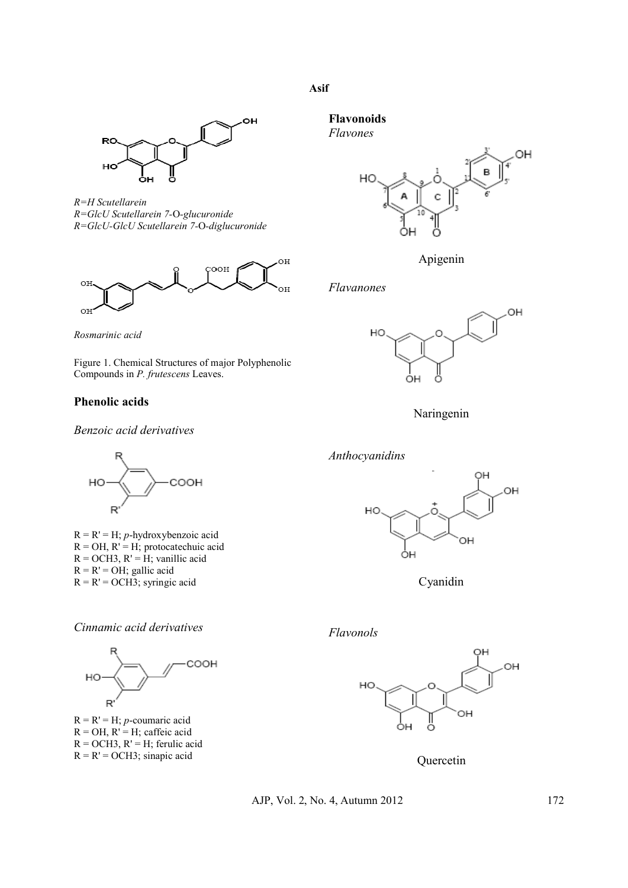### **Asif**



*R=H Scutellarein R=GlcU Scutellarein 7-*O*-glucuronide R=GlcU-GlcU Scutellarein 7-*O*-diglucuronide*





Figure 1. Chemical Structures of major Polyphenolic Compounds in *P. frutescens* Leaves.

### **Phenolic acids**

*Benzoic acid derivatives*



R = R' = H; *p*-hydroxybenzoic acid  $R = OH$ ,  $R' = H$ ; protocatechuic acid  $R = OCH3$ ,  $R' = H$ ; vanillic acid  $R = R' = OH$ ; gallic acid  $R = R' = OCH3$ ; syringic acid





 $R = R' = H$ ; *p*-coumaric acid  $R = OH$ ,  $R' = H$ ; caffeic acid  $R = OCH3$ ,  $R' = H$ ; ferulic acid  $R = R' = OCH3$ ; sinapic acid

**Flavonoids**

*Flavones*



Apigenin

#### *Flavanones*



Naringenin



Cyanidin

*Flavonols*



**Quercetin**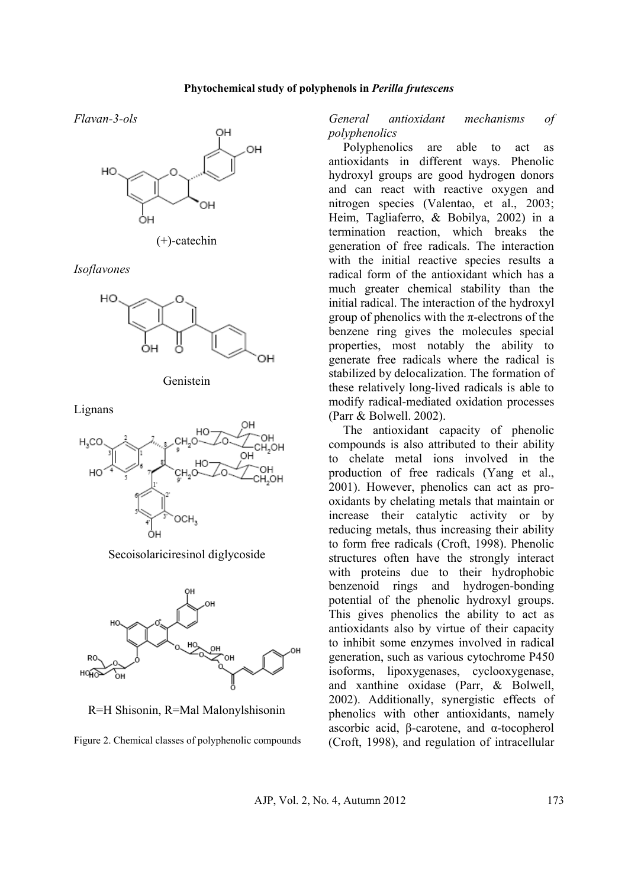#### **Phytochemical study of polyphenols in** *Perilla frutescens*

*Flavan-3-ols*



(+)-catechin

*Isoflavones*





Lignans



Secoisolariciresinol diglycoside



R=H Shisonin, R=Mal Malonylshisonin

Figure 2. Chemical classes of polyphenolic compounds

*General antioxidant mechanisms of polyphenolics*

Polyphenolics are able to act as antioxidants in different ways. Phenolic hydroxyl groups are good hydrogen donors and can react with reactive oxygen and nitrogen species (Valentao, et al., 2003; Heim, Tagliaferro, & Bobilya, 2002) in a termination reaction, which breaks the generation of free radicals. The interaction with the initial reactive species results a radical form of the antioxidant which has a much greater chemical stability than the initial radical. The interaction of the hydroxyl group of phenolics with the  $\pi$ -electrons of the benzene ring gives the molecules special properties, most notably the ability to generate free radicals where the radical is stabilized by delocalization. The formation of these relatively long-lived radicals is able to modify radical-mediated oxidation processes (Parr & Bolwell. 2002).

The antioxidant capacity of phenolic compounds is also attributed to their ability to chelate metal ions involved in the production of free radicals (Yang et al., 2001). However, phenolics can act as prooxidants by chelating metals that maintain or increase their catalytic activity or by reducing metals, thus increasing their ability to form free radicals (Croft, 1998). Phenolic structures often have the strongly interact with proteins due to their hydrophobic benzenoid rings and hydrogen-bonding potential of the phenolic hydroxyl groups. This gives phenolics the ability to act as antioxidants also by virtue of their capacity to inhibit some enzymes involved in radical generation, such as various cytochrome P450 isoforms, lipoxygenases, cyclooxygenase, and xanthine oxidase (Parr, & Bolwell, 2002). Additionally, synergistic effects of phenolics with other antioxidants, namely ascorbic acid, β-carotene, and α-tocopherol (Croft, 1998), and regulation of intracellular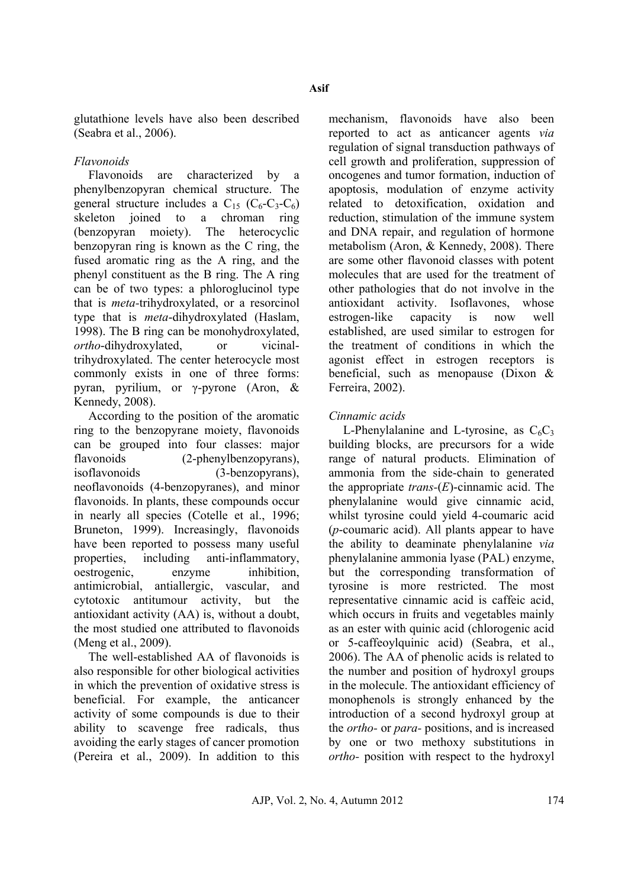glutathione levels have also been described (Seabra et al., 2006).

## *Flavonoids*

Flavonoids are characterized by a phenylbenzopyran chemical structure. The general structure includes a  $C_{15}$  ( $C_6$ - $C_3$ - $C_6$ ) skeleton joined to a chroman ring (benzopyran moiety). The heterocyclic benzopyran ring is known as the C ring, the fused aromatic ring as the A ring, and the phenyl constituent as the B ring. The A ring can be of two types: a phloroglucinol type that is *meta-*trihydroxylated, or a resorcinol type that is *meta*-dihydroxylated (Haslam, 1998). The B ring can be monohydroxylated, *ortho*-dihydroxylated, or vicinaltrihydroxylated. The center heterocycle most commonly exists in one of three forms: pyran, pyrilium, or γ-pyrone (Aron, & Kennedy, 2008).

According to the position of the aromatic ring to the benzopyrane moiety, flavonoids can be grouped into four classes: major flavonoids (2-phenylbenzopyrans), isoflavonoids (3-benzopyrans), neoflavonoids (4-benzopyranes), and minor flavonoids. In plants, these compounds occur in nearly all species (Cotelle et al., 1996; Bruneton, 1999). Increasingly, flavonoids have been reported to possess many useful properties, including anti-inflammatory, oestrogenic, enzyme inhibition, antimicrobial, antiallergic, vascular, and cytotoxic antitumour activity, but the antioxidant activity (AA) is, without a doubt, the most studied one attributed to flavonoids (Meng et al., 2009).

The well-established AA of flavonoids is also responsible for other biological activities in which the prevention of oxidative stress is beneficial. For example, the anticancer activity of some compounds is due to their ability to scavenge free radicals, thus avoiding the early stages of cancer promotion (Pereira et al., 2009). In addition to this mechanism, flavonoids have also been reported to act as anticancer agents *via*  regulation of signal transduction pathways of cell growth and proliferation, suppression of oncogenes and tumor formation, induction of apoptosis, modulation of enzyme activity related to detoxification, oxidation and reduction, stimulation of the immune system and DNA repair, and regulation of hormone metabolism (Aron, & Kennedy, 2008). There are some other flavonoid classes with potent molecules that are used for the treatment of other pathologies that do not involve in the antioxidant activity. Isoflavones, whose estrogen-like capacity is now well established, are used similar to estrogen for the treatment of conditions in which the agonist effect in estrogen receptors is beneficial, such as menopause (Dixon & Ferreira, 2002).

## *Cinnamic acids*

L-Phenylalanine and L-tyrosine, as  $C_6C_3$ building blocks, are precursors for a wide range of natural products. Elimination of ammonia from the side-chain to generated the appropriate *trans-*(*E*)-cinnamic acid. The phenylalanine would give cinnamic acid, whilst tyrosine could yield 4-coumaric acid (*p*-coumaric acid). All plants appear to have the ability to deaminate phenylalanine *via*  phenylalanine ammonia lyase (PAL) enzyme, but the corresponding transformation of tyrosine is more restricted. The most representative cinnamic acid is caffeic acid, which occurs in fruits and vegetables mainly as an ester with quinic acid (chlorogenic acid or 5-caffeoylquinic acid) (Seabra, et al., 2006). The AA of phenolic acids is related to the number and position of hydroxyl groups in the molecule. The antioxidant efficiency of monophenols is strongly enhanced by the introduction of a second hydroxyl group at the *ortho-* or *para-* positions, and is increased by one or two methoxy substitutions in *ortho-* position with respect to the hydroxyl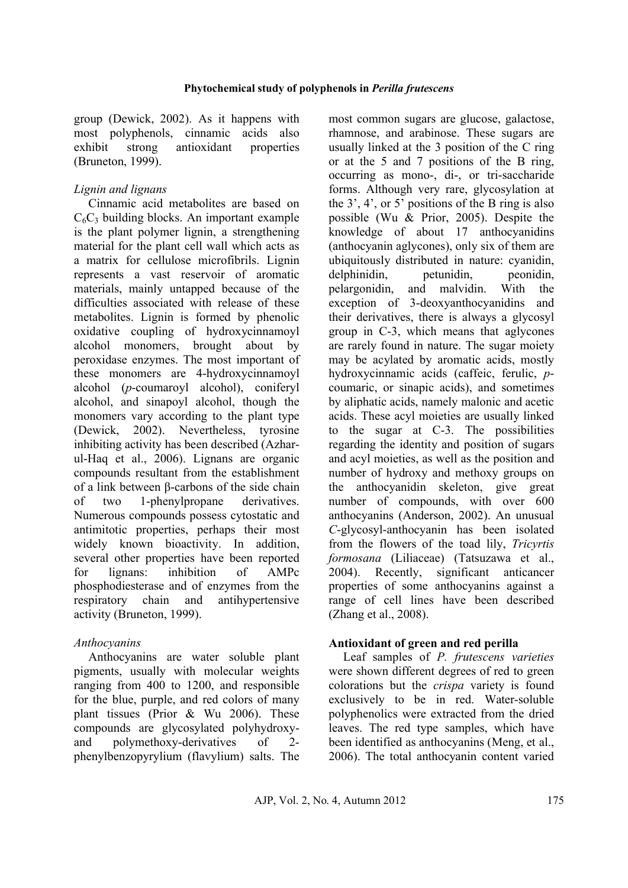group (Dewick, 2002). As it happens with most polyphenols, cinnamic acids also exhibit strong antioxidant properties (Bruneton, 1999).

## *Lignin and lignans*

Cinnamic acid metabolites are based on  $C_6C_3$  building blocks. An important example is the plant polymer lignin, a strengthening material for the plant cell wall which acts as a matrix for cellulose microfibrils. Lignin represents a vast reservoir of aromatic materials, mainly untapped because of the difficulties associated with release of these metabolites. Lignin is formed by phenolic oxidative coupling of hydroxycinnamoyl alcohol monomers, brought about by peroxidase enzymes. The most important of these monomers are 4-hydroxycinnamoyl alcohol (*p*-coumaroyl alcohol), coniferyl alcohol, and sinapoyl alcohol, though the monomers vary according to the plant type (Dewick, 2002). Nevertheless, tyrosine inhibiting activity has been described (Azharul-Haq et al., 2006). Lignans are organic compounds resultant from the establishment of a link between β-carbons of the side chain of two 1-phenylpropane derivatives. Numerous compounds possess cytostatic and antimitotic properties, perhaps their most widely known bioactivity. In addition, several other properties have been reported for lignans: inhibition of AMPc phosphodiesterase and of enzymes from the respiratory chain and antihypertensive activity (Bruneton, 1999).

## *Anthocyanins*

Anthocyanins are water soluble plant pigments, usually with molecular weights ranging from 400 to 1200, and responsible for the blue, purple, and red colors of many plant tissues (Prior & Wu 2006). These compounds are glycosylated polyhydroxyand polymethoxy-derivatives of 2 phenylbenzopyrylium (flavylium) salts. The

most common sugars are glucose, galactose, rhamnose, and arabinose. These sugars are usually linked at the 3 position of the C ring or at the 5 and 7 positions of the B ring, occurring as mono-, di-, or tri-saccharide forms. Although very rare, glycosylation at the  $3^{\prime}$ ,  $4^{\prime}$ , or  $5^{\prime}$  positions of the B ring is also possible (Wu & Prior, 2005). Despite the knowledge of about 17 anthocyanidins (anthocyanin aglycones), only six of them are ubiquitously distributed in nature: cyanidin, delphinidin, petunidin, peonidin, pelargonidin, and malvidin. With the exception of 3-deoxyanthocyanidins and their derivatives, there is always a glycosyl group in C-3, which means that aglycones are rarely found in nature. The sugar moiety may be acylated by aromatic acids, mostly hydroxycinnamic acids (caffeic, ferulic, *p*coumaric, or sinapic acids), and sometimes by aliphatic acids, namely malonic and acetic acids. These acyl moieties are usually linked to the sugar at C-3. The possibilities regarding the identity and position of sugars and acyl moieties, as well as the position and number of hydroxy and methoxy groups on the anthocyanidin skeleton, give great number of compounds, with over 600 anthocyanins (Anderson, 2002). An unusual *C*-glycosyl-anthocyanin has been isolated from the flowers of the toad lily, *Tricyrtis formosana* (Liliaceae) (Tatsuzawa et al., 2004). Recently, significant anticancer properties of some anthocyanins against a range of cell lines have been described (Zhang et al., 2008).

## **Antioxidant of green and red perilla**

Leaf samples of *P. frutescens varieties*  were shown different degrees of red to green colorations but the *crispa* variety is found exclusively to be in red. Water-soluble polyphenolics were extracted from the dried leaves. The red type samples, which have been identified as anthocyanins (Meng, et al., 2006). The total anthocyanin content varied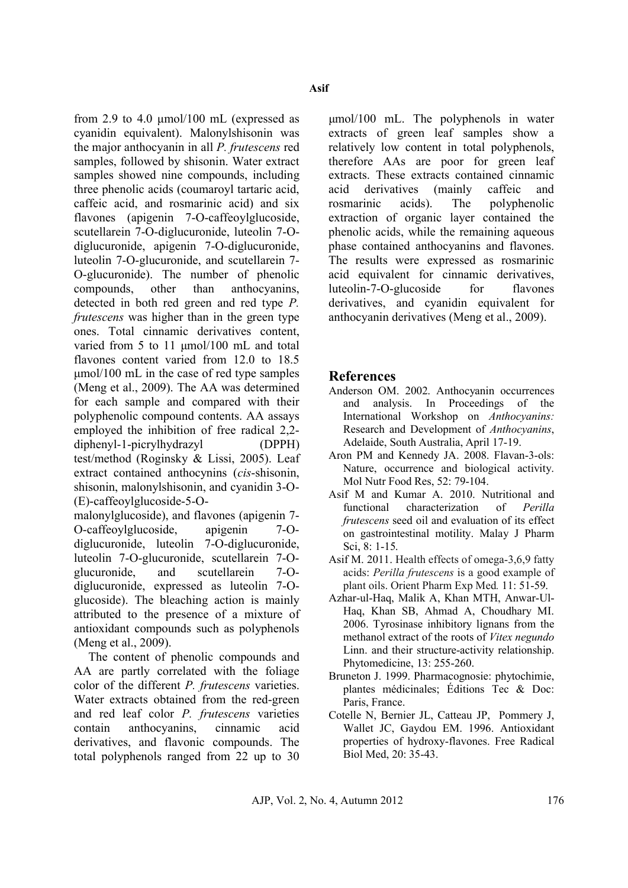from 2.9 to 4.0 μmol/100 mL (expressed as cyanidin equivalent). Malonylshisonin was the major anthocyanin in all *P. frutescens* red samples, followed by shisonin. Water extract samples showed nine compounds, including three phenolic acids (coumaroyl tartaric acid, caffeic acid, and rosmarinic acid) and six flavones (apigenin 7-O-caffeoylglucoside, scutellarein 7-O-diglucuronide, luteolin 7-Odiglucuronide, apigenin 7-O-diglucuronide, luteolin 7-O-glucuronide, and scutellarein 7- O-glucuronide). The number of phenolic compounds, other than anthocyanins, detected in both red green and red type *P. frutescens* was higher than in the green type ones. Total cinnamic derivatives content, varied from 5 to 11 μmol/100 mL and total flavones content varied from 12.0 to 18.5 μmol/100 mL in the case of red type samples (Meng et al., 2009). The AA was determined for each sample and compared with their polyphenolic compound contents. AA assays employed the inhibition of free radical 2,2 diphenyl-1-picrylhydrazyl (DPPH) test/method (Roginsky & Lissi, 2005). Leaf extract contained anthocynins (*cis*-shisonin, shisonin, malonylshisonin, and cyanidin 3-O- (E)-caffeoylglucoside-5-O-

malonylglucoside), and flavones (apigenin 7- O-caffeoylglucoside, apigenin 7-Odiglucuronide, luteolin 7-O-diglucuronide, luteolin 7-O-glucuronide, scutellarein 7-Oglucuronide, and scutellarein 7-Odiglucuronide, expressed as luteolin 7-Oglucoside). The bleaching action is mainly attributed to the presence of a mixture of antioxidant compounds such as polyphenols (Meng et al., 2009).

The content of phenolic compounds and AA are partly correlated with the foliage color of the different *P. frutescens* varieties. Water extracts obtained from the red-green and red leaf color *P. frutescens* varieties contain anthocyanins, cinnamic acid derivatives, and flavonic compounds. The total polyphenols ranged from 22 up to 30

μmol/100 mL. The polyphenols in water extracts of green leaf samples show a relatively low content in total polyphenols, therefore AAs are poor for green leaf extracts. These extracts contained cinnamic acid derivatives (mainly caffeic and rosmarinic acids). The polyphenolic extraction of organic layer contained the phenolic acids, while the remaining aqueous phase contained anthocyanins and flavones. The results were expressed as rosmarinic acid equivalent for cinnamic derivatives, luteolin-7-O-glucoside for flavones derivatives, and cyanidin equivalent for anthocyanin derivatives (Meng et al., 2009).

# **References**

- Anderson OM. 2002. Anthocyanin occurrences and analysis. In Proceedings of the International Workshop on *Anthocyanins:*  Research and Development of *Anthocyanins*, Adelaide, South Australia, April 17-19.
- Aron PM and Kennedy JA. 2008. Flavan-3-ols: Nature, occurrence and biological activity. [Mol Nutr Food Res](http://www.ncbi.nlm.nih.gov/pubmed/18081206), 52: 79-104.
- Asif M and Kumar A. 2010. Nutritional and functional characterization of *Perilla frutescens* seed oil and evaluation of its effect on gastrointestinal motility. Malay J Pharm Sci, 8: 1-15.
- Asif M. 2011. Health effects of omega-3,6,9 fatty acids: *Perilla frutescens* is a good example of plant oils. Orient Pharm Exp Med*.* 11: 51-59.
- Azhar-ul-Haq, Malik A, Khan MTH, Anwar-Ul-Haq, Khan SB, Ahmad A, Choudhary MI. 2006. Tyrosinase inhibitory lignans from the methanol extract of the roots of *Vitex negundo*  Linn. and their structure-activity relationship. Phytomedicine, 13: 255-260.
- Bruneton J. 1999. Pharmacognosie: phytochimie, plantes médicinales; Éditions Tec  $\&$  Doc: Paris, France.
- Cotelle N, Bernier JL, Catteau JP, Pommery J, Wallet JC, Gaydou EM. 1996. Antioxidant properties of hydroxy-flavones. Free Radical Biol Med, 20: 35-43.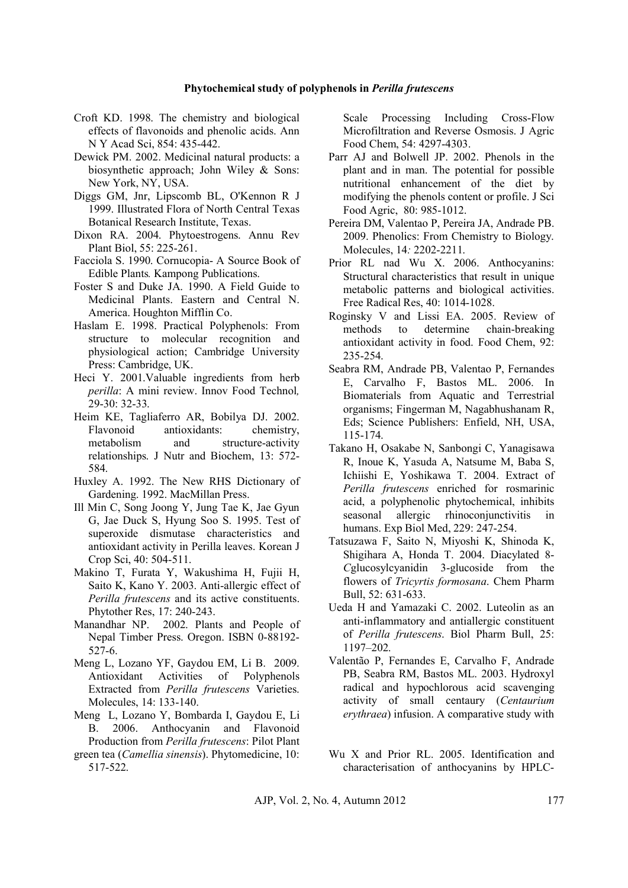#### **Phytochemical study of polyphenols in** *Perilla frutescens*

- Croft KD. 1998. The chemistry and biological effects of flavonoids and phenolic acids. [Ann](http://www.ncbi.nlm.nih.gov/pubmed/9928450)  [N Y Acad Sci,](http://www.ncbi.nlm.nih.gov/pubmed/9928450) 854: 435-442.
- Dewick PM. 2002. Medicinal natural products: a biosynthetic approach; John Wiley & Sons: New York, NY, USA.
- Diggs GM, Jnr, Lipscomb BL, O'Kennon R J 1999. Illustrated Flora of North Central Texas Botanical Research Institute, Texas.
- Dixon RA. 2004. Phytoestrogens. Annu Rev Plant Biol, 55: 225-261.
- Facciola S. 1990. Cornucopia- A Source Book of Edible Plants*.* Kampong Publications.
- Foster S and Duke JA. 1990. A Field Guide to Medicinal Plants. Eastern and Central N. America. Houghton Mifflin Co.
- Haslam E. 1998. Practical Polyphenols: From structure to molecular recognition and physiological action; Cambridge University Press: Cambridge, UK.
- Heci Y. 2001.Valuable ingredients from herb *perilla*: A mini review. Innov Food Technol*,* 29-30: 32-33.
- Heim KE, Tagliaferro AR, Bobilya DJ. 2002. Flavonoid antioxidants: chemistry, metabolism and structure-activity relationships. J Nutr and Biochem, 13: 572- 584.
- Huxley A. 1992. The New RHS Dictionary of Gardening. 1992. MacMillan Press.
- Ill Min C, Song Joong Y, Jung Tae K, Jae Gyun G, Jae Duck S, Hyung Soo S. 1995. Test of superoxide dismutase characteristics and antioxidant activity in Perilla leaves. Korean J Crop Sci, 40: 504-511.
- Makino T, Furata Y, Wakushima H, Fujii H, Saito K, Kano Y. 2003. Anti-allergic effect of *Perilla frutescens* and its active constituents. Phytother Res, 17: 240-243.
- Manandhar NP. 2002. Plants and People of Nepal Timber Press. Oregon. ISBN 0-88192- 527-6.
- Meng L, Lozano YF, Gaydou EM, Li B. 2009. Antioxidant Activities of Polyphenols Extracted from *Perilla frutescens* Varieties. Molecules, 14: 133-140.
- Meng L, Lozano Y, Bombarda I, Gaydou E, Li B. 2006. Anthocyanin and Flavonoid Production from *Perilla frutescens*: Pilot Plant
- green tea (*Camellia sinensis*). Phytomedicine, 10: 517-522.

Scale Processing Including Cross-Flow Microfiltration and Reverse Osmosis. J Agric Food Chem, 54: 4297-4303.

- Parr AJ and Bolwell JP. 2002. Phenols in the plant and in man. The potential for possible nutritional enhancement of the diet by modifying the phenols content or profile. J Sci Food Agric, 80: 985-1012.
- Pereira DM, Valentao P, Pereira JA, Andrade PB. 2009. Phenolics: From Chemistry to Biology. Molecules, 14*:* 2202-2211.
- Prior RL nad Wu X. 2006. Anthocyanins: Structural characteristics that result in unique metabolic patterns and biological activities. Free Radical Res, 40: 1014-1028.
- Roginsky V and Lissi EA. 2005. Review of methods to determine chain-breaking antioxidant activity in food. Food Chem, 92: 235-254.
- Seabra RM, Andrade PB, Valentao P, Fernandes E, Carvalho F, Bastos ML. 2006. In Biomaterials from Aquatic and Terrestrial organisms; Fingerman M, Nagabhushanam R, Eds; Science Publishers: Enfield, NH, USA, 115-174.
- Takano H, Osakabe N, Sanbongi C, Yanagisawa R, Inoue K, Yasuda A, Natsume M, Baba S, Ichiishi E, Yoshikawa T. 2004. Extract of *Perilla frutescens* enriched for rosmarinic acid, a polyphenolic phytochemical, inhibits seasonal allergic rhinoconiunctivitis humans. Exp Biol Med, 229: 247-254.
- Tatsuzawa F, Saito N, Miyoshi K, Shinoda K, Shigihara A, Honda T. 2004. Diacylated 8- *C*glucosylcyanidin 3-glucoside from the flowers of *Tricyrtis formosana*. Chem Pharm Bull, 52: 631-633.
- Ueda H and Yamazaki C. 2002. Luteolin as an anti-inflammatory and antiallergic constituent of *Perilla frutescens*. Biol Pharm Bull, 25: 1197–202.
- Valentão P, Fernandes E, Carvalho F, Andrade PB, Seabra RM, Bastos ML. 2003. Hydroxyl radical and hypochlorous acid scavenging activity of small centaury (*Centaurium erythraea*) infusion. A comparative study with
- Wu X and Prior RL. 2005. Identification and characterisation of anthocyanins by HPLC-